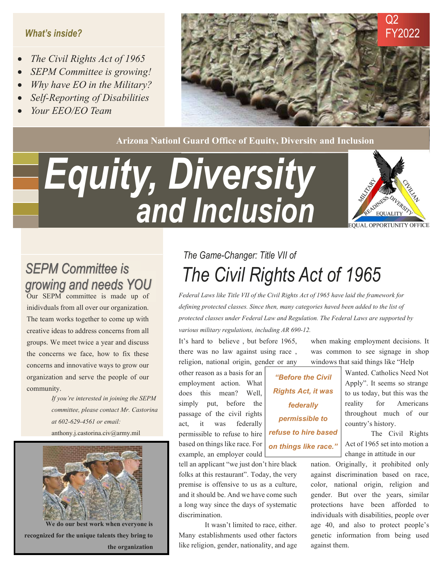#### What's inside?

- The Civil Rights Act of 1965
- SEPM Committee is growing!
- Why have EO in the Military?
- Self-Reporting of Disabilities
- Your EEO/EO Team



Arizona Nationl Guard Office of Equity, Diversity and Inclusion

# Equity, Diversity and Inclusion **EQUAL OPPORTUNITY OFFICE**



**SEPM Committee is** growing and needs YOU Our SEPM committee is made up of

inidivduals from all over our organization. The team works together to come up with creative ideas to address concerns from all groups. We meet twice a year and discuss the concerns we face, how to fix these concerns and innovative ways to grow our organization and serve the people of our community.

> If you're interested in joining the SEPM committee, please contact Mr. Castorina at 602-629-4561 or email: anthony.j.castorina.civ@army.mil



We do our best work when everyone is recognized for the unique talents they bring to the organization

### The Civil Rights Act of 1965 The Game-Changer: Title VII of

Federal Laws like Title VII of the Civil Rights Act of 1965 have laid the framework for defining protected classes. Since then, many categories haved been added to the list of protected classes under Federal Law and Regulation. The Federal Laws are supported by various military regulations, including AR 690-12.

It's hard to believe , but before 1965, there was no law against using race , religion, national origin, gender or any

 other reason as a basis for an employment action. What does this mean? Well, simply put, before the passage of the civil rights act, it was federally permissible to refuse to hire based on things like race. For example, an employer could

tell an applicant "we just don't hire black folks at this restaurant". Today, the very premise is offensive to us as a culture, and it should be. And we have come such a long way since the days of systematic discrimination.

It wasn't limited to race, either. Many establishments used other factors like religion, gender, nationality, and age

"Before the Civil Rights Act, it was federally permissible to refuse to hire based on things like race."

when making employment decisions. It was common to see signage in shop windows that said things like "Help

> Wanted. Catholics Need Not Apply". It seems so strange to us today, but this was the reality for Americans throughout much of our country's history.

> The Civil Rights Act of 1965 set into motion a change in attitude in our

nation. Originally, it prohibited only against discrimination based on race, color, national origin, religion and gender. But over the years, similar protections have been afforded to individuals with disabilities, people over age 40, and also to protect people's genetic information from being used against them.